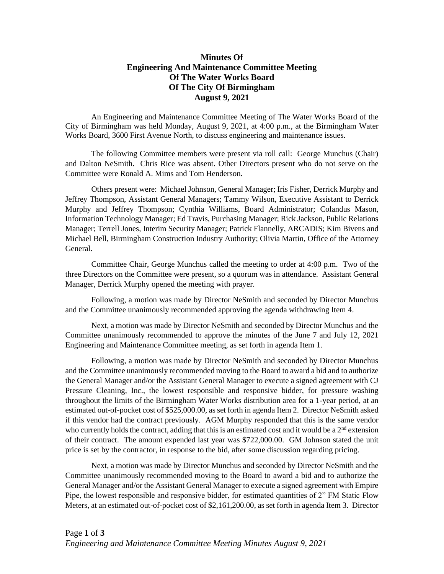## **Minutes Of Engineering And Maintenance Committee Meeting Of The Water Works Board Of The City Of Birmingham August 9, 2021**

An Engineering and Maintenance Committee Meeting of The Water Works Board of the City of Birmingham was held Monday, August 9, 2021, at 4:00 p.m., at the Birmingham Water Works Board, 3600 First Avenue North, to discuss engineering and maintenance issues.

The following Committee members were present via roll call: George Munchus (Chair) and Dalton NeSmith. Chris Rice was absent. Other Directors present who do not serve on the Committee were Ronald A. Mims and Tom Henderson.

Others present were: Michael Johnson, General Manager; Iris Fisher, Derrick Murphy and Jeffrey Thompson, Assistant General Managers; Tammy Wilson, Executive Assistant to Derrick Murphy and Jeffrey Thompson; Cynthia Williams, Board Administrator; Colandus Mason, Information Technology Manager; Ed Travis, Purchasing Manager; Rick Jackson, Public Relations Manager; Terrell Jones, Interim Security Manager; Patrick Flannelly, ARCADIS; Kim Bivens and Michael Bell, Birmingham Construction Industry Authority; Olivia Martin, Office of the Attorney General.

Committee Chair, George Munchus called the meeting to order at 4:00 p.m. Two of the three Directors on the Committee were present, so a quorum was in attendance. Assistant General Manager, Derrick Murphy opened the meeting with prayer.

Following, a motion was made by Director NeSmith and seconded by Director Munchus and the Committee unanimously recommended approving the agenda withdrawing Item 4.

Next, a motion was made by Director NeSmith and seconded by Director Munchus and the Committee unanimously recommended to approve the minutes of the June 7 and July 12, 2021 Engineering and Maintenance Committee meeting, as set forth in agenda Item 1.

Following, a motion was made by Director NeSmith and seconded by Director Munchus and the Committee unanimously recommended moving to the Board to award a bid and to authorize the General Manager and/or the Assistant General Manager to execute a signed agreement with CJ Pressure Cleaning, Inc., the lowest responsible and responsive bidder, for pressure washing throughout the limits of the Birmingham Water Works distribution area for a 1-year period, at an estimated out-of-pocket cost of \$525,000.00, as set forth in agenda Item 2. Director NeSmith asked if this vendor had the contract previously. AGM Murphy responded that this is the same vendor who currently holds the contract, adding that this is an estimated cost and it would be a  $2<sup>nd</sup>$  extension of their contract. The amount expended last year was \$722,000.00. GM Johnson stated the unit price is set by the contractor, in response to the bid, after some discussion regarding pricing.

Next, a motion was made by Director Munchus and seconded by Director NeSmith and the Committee unanimously recommended moving to the Board to award a bid and to authorize the General Manager and/or the Assistant General Manager to execute a signed agreement with Empire Pipe, the lowest responsible and responsive bidder, for estimated quantities of 2" FM Static Flow Meters, at an estimated out-of-pocket cost of \$2,161,200.00, as set forth in agenda Item 3. Director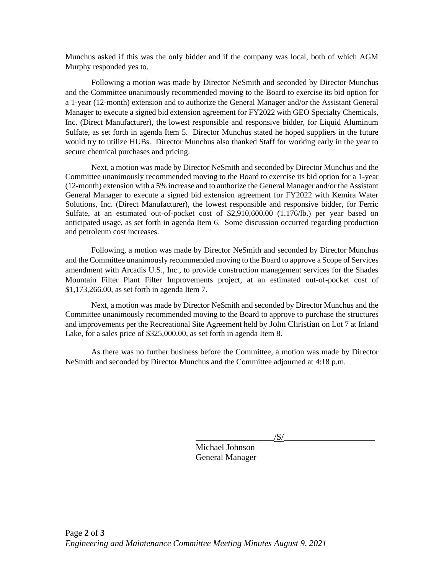Munchus asked if this was the only bidder and if the company was local, both of which AGM Murphy responded yes to.

Following a motion was made by Director NeSmith and seconded by Director Munchus and the Committee unanimously recommended moving to the Board to exercise its bid option for a 1-year (12-month) extension and to authorize the General Manager and/or the Assistant General Manager to execute a signed bid extension agreement for FY2022 with GEO Specialty Chemicals, Inc. (Direct Manufacturer), the lowest responsible and responsive bidder, for Liquid Aluminum Sulfate, as set forth in agenda Item 5. Director Munchus stated he hoped suppliers in the future would try to utilize HUBs. Director Munchus also thanked Staff for working early in the year to secure chemical purchases and pricing.

Next, a motion was made by Director NeSmith and seconded by Director Munchus and the Committee unanimously recommended moving to the Board to exercise its bid option for a 1-year (12-month) extension with a 5% increase and to authorize the General Manager and/or the Assistant General Manager to execute a signed bid extension agreement for FY2022 with Kemira Water Solutions, Inc. (Direct Manufacturer), the lowest responsible and responsive bidder, for Ferric Sulfate, at an estimated out-of-pocket cost of \$2,910,600.00 (1.176/lb.) per year based on anticipated usage, as set forth in agenda Item 6. Some discussion occurred regarding production and petroleum cost increases.

Following, a motion was made by Director NeSmith and seconded by Director Munchus and the Committee unanimously recommended moving to the Board to approve a Scope of Services amendment with Arcadis U.S., Inc., to provide construction management services for the Shades Mountain Filter Plant Filter Improvements project, at an estimated out-of-pocket cost of \$1,173,266.00, as set forth in agenda Item 7.

Next, a motion was made by Director NeSmith and seconded by Director Munchus and the Committee unanimously recommended moving to the Board to approve to purchase the structures and improvements per the Recreational Site Agreement held by John Christian on Lot 7 at Inland Lake, for a sales price of \$325,000.00, as set forth in agenda Item 8.

As there was no further business before the Committee, a motion was made by Director NeSmith and seconded by Director Munchus and the Committee adjourned at 4:18 p.m.

 $\sqrt{S/}$ 

Michael Johnson General Manager